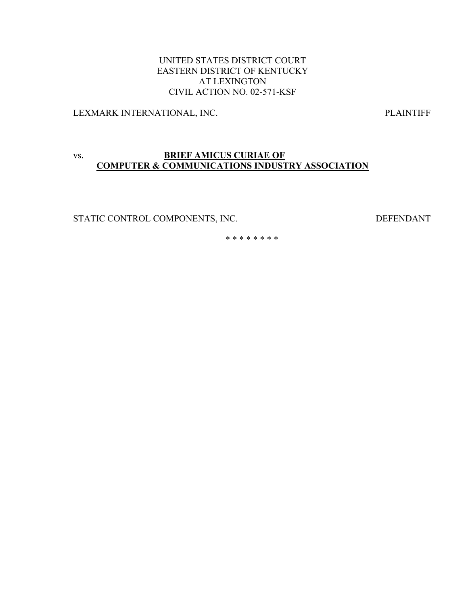## UNITED STATES DISTRICT COURT EASTERN DISTRICT OF KENTUCKY AT LEXINGTON CIVIL ACTION NO. 02-571-KSF

LEXMARK INTERNATIONAL, INC. PLAINTIFF

# vs. **BRIEF AMICUS CURIAE OF COMPUTER & COMMUNICATIONS INDUSTRY ASSOCIATION**

STATIC CONTROL COMPONENTS, INC. DEFENDANT

\* \* \* \* \* \* \* \*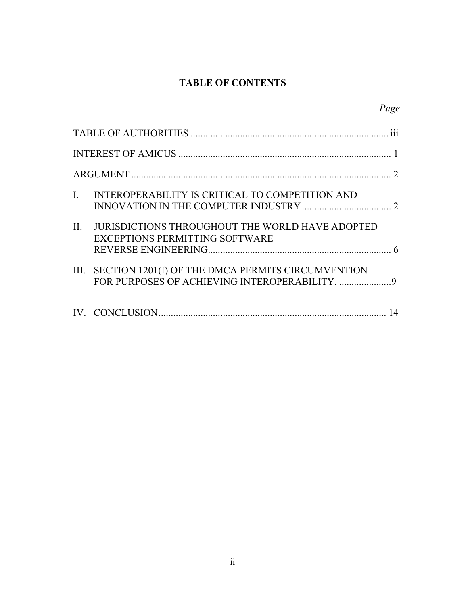# **TABLE OF CONTENTS**

|              |                                                                                                 | Page |
|--------------|-------------------------------------------------------------------------------------------------|------|
|              |                                                                                                 |      |
|              |                                                                                                 |      |
|              |                                                                                                 |      |
| $\mathbf{L}$ | INTEROPERABILITY IS CRITICAL TO COMPETITION AND                                                 |      |
| $\Pi$ .      | <b>JURISDICTIONS THROUGHOUT THE WORLD HAVE ADOPTED</b><br><b>EXCEPTIONS PERMITTING SOFTWARE</b> |      |
|              | III. SECTION 1201(f) OF THE DMCA PERMITS CIRCUMVENTION                                          |      |
|              |                                                                                                 |      |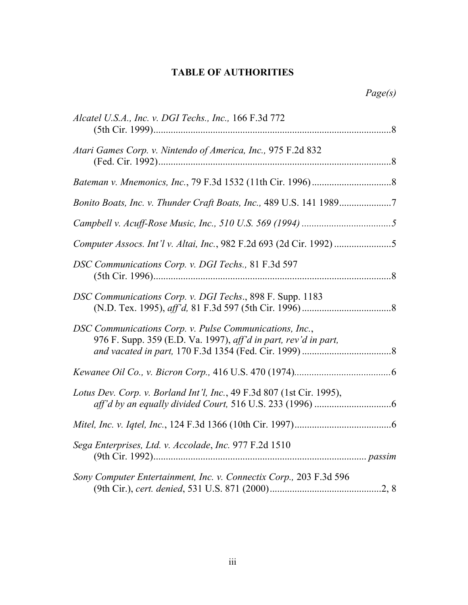# **TABLE OF AUTHORITIES**

| Alcatel U.S.A., Inc. v. DGI Techs., Inc., 166 F.3d 772                                                                     |  |
|----------------------------------------------------------------------------------------------------------------------------|--|
| Atari Games Corp. v. Nintendo of America, Inc., 975 F.2d 832                                                               |  |
|                                                                                                                            |  |
| Bonito Boats, Inc. v. Thunder Craft Boats, Inc., 489 U.S. 141 19897                                                        |  |
|                                                                                                                            |  |
|                                                                                                                            |  |
| DSC Communications Corp. v. DGI Techs., 81 F.3d 597                                                                        |  |
| DSC Communications Corp. v. DGI Techs., 898 F. Supp. 1183                                                                  |  |
| DSC Communications Corp. v. Pulse Communications, Inc.,<br>976 F. Supp. 359 (E.D. Va. 1997), aff'd in part, rev'd in part, |  |
|                                                                                                                            |  |
| Lotus Dev. Corp. v. Borland Int'l, Inc., 49 F.3d 807 (1st Cir. 1995),                                                      |  |
|                                                                                                                            |  |
| Sega Enterprises, Ltd. v. Accolade, Inc. 977 F.2d 1510                                                                     |  |
| Sony Computer Entertainment, Inc. v. Connectix Corp., 203 F.3d 596                                                         |  |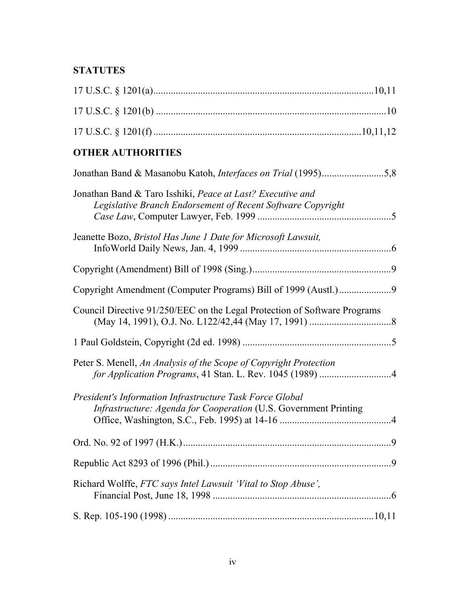# **STATUTES**

| <b>OTHER AUTHORITIES</b>                                                                                                      |
|-------------------------------------------------------------------------------------------------------------------------------|
| Jonathan Band & Masanobu Katoh, Interfaces on Trial (1995)5,8                                                                 |
| Jonathan Band & Taro Isshiki, Peace at Last? Executive and<br>Legislative Branch Endorsement of Recent Software Copyright     |
| Jeanette Bozo, Bristol Has June 1 Date for Microsoft Lawsuit,                                                                 |
|                                                                                                                               |
|                                                                                                                               |
| Council Directive 91/250/EEC on the Legal Protection of Software Programs                                                     |
|                                                                                                                               |
| Peter S. Menell, An Analysis of the Scope of Copyright Protection<br>for Application Programs, 41 Stan. L. Rev. 1045 (1989) 4 |
| President's Information Infrastructure Task Force Global<br>Infrastructure: Agenda for Cooperation (U.S. Government Printing  |
|                                                                                                                               |
|                                                                                                                               |
| Richard Wolffe, FTC says Intel Lawsuit 'Vital to Stop Abuse',                                                                 |
|                                                                                                                               |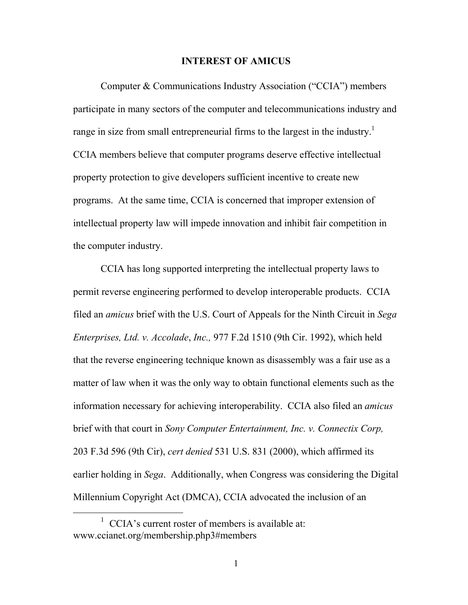#### **INTEREST OF AMICUS**

Computer & Communications Industry Association ("CCIA") members participate in many sectors of the computer and telecommunications industry and range in size from small entrepreneurial firms to the largest in the industry.<sup>1</sup> CCIA members believe that computer programs deserve effective intellectual property protection to give developers sufficient incentive to create new programs. At the same time, CCIA is concerned that improper extension of intellectual property law will impede innovation and inhibit fair competition in the computer industry.

CCIA has long supported interpreting the intellectual property laws to permit reverse engineering performed to develop interoperable products. CCIA filed an *amicus* brief with the U.S. Court of Appeals for the Ninth Circuit in *Sega Enterprises, Ltd. v. Accolade*, *Inc.,* 977 F.2d 1510 (9th Cir. 1992), which held that the reverse engineering technique known as disassembly was a fair use as a matter of law when it was the only way to obtain functional elements such as the information necessary for achieving interoperability. CCIA also filed an *amicus* brief with that court in *Sony Computer Entertainment, Inc. v. Connectix Corp,*  203 F.3d 596 (9th Cir), *cert denied* 531 U.S. 831 (2000), which affirmed its earlier holding in *Sega*. Additionally, when Congress was considering the Digital Millennium Copyright Act (DMCA), CCIA advocated the inclusion of an

<span id="page-4-0"></span><sup>&</sup>lt;u>1</u> CCIA's current roster of members is available at: www.ccianet.org/membership.php3#members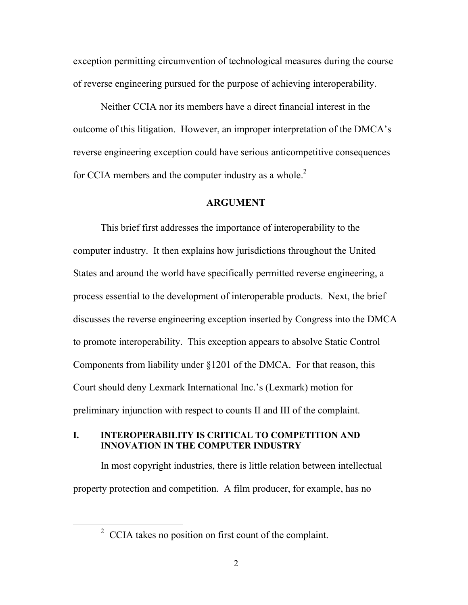<span id="page-5-0"></span>exception permitting circumvention of technological measures during the course of reverse engineering pursued for the purpose of achieving interoperability.

Neither CCIA nor its members have a direct financial interest in the outcome of this litigation. However, an improper interpretation of the DMCA's reverse engineering exception could have serious anticompetitive consequences for CCIA members and the computer industry as a whole.<sup>[2](#page-5-1)</sup>

#### **ARGUMENT**

This brief first addresses the importance of interoperability to the computer industry. It then explains how jurisdictions throughout the United States and around the world have specifically permitted reverse engineering, a process essential to the development of interoperable products. Next, the brief discusses the reverse engineering exception inserted by Congress into the DMCA to promote interoperability. This exception appears to absolve Static Control Components from liability under §1201 of the DMCA. For that reason, this Court should deny Lexmark International Inc.'s (Lexmark) motion for preliminary injunction with respect to counts II and III of the complaint.

### **I. INTEROPERABILITY IS CRITICAL TO COMPETITION AND INNOVATION IN THE COMPUTER INDUSTRY**

In most copyright industries, there is little relation between intellectual property protection and competition. A film producer, for example, has no

<span id="page-5-1"></span> <sup>2</sup>  $2^{\circ}$  CCIA takes no position on first count of the complaint.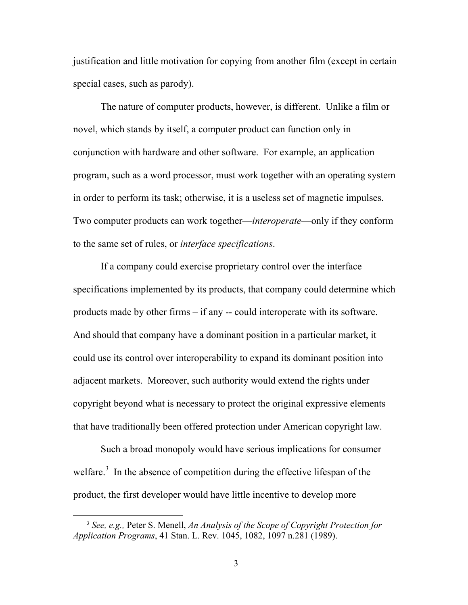justification and little motivation for copying from another film (except in certain special cases, such as parody).

The nature of computer products, however, is different. Unlike a film or novel, which stands by itself, a computer product can function only in conjunction with hardware and other software. For example, an application program, such as a word processor, must work together with an operating system in order to perform its task; otherwise, it is a useless set of magnetic impulses. Two computer products can work together—*interoperate*—only if they conform to the same set of rules, or *interface specifications*.

If a company could exercise proprietary control over the interface specifications implemented by its products, that company could determine which products made by other firms – if any -- could interoperate with its software. And should that company have a dominant position in a particular market, it could use its control over interoperability to expand its dominant position into adjacent markets. Moreover, such authority would extend the rights under copyright beyond what is necessary to protect the original expressive elements that have traditionally been offered protection under American copyright law.

Such a broad monopoly would have serious implications for consumer welfare.<sup>[3](#page-6-0)</sup> In the absence of competition during the effective lifespan of the product, the first developer would have little incentive to develop more

<span id="page-6-0"></span> <sup>3</sup> *See, e.g.,* Peter S. Menell, *An Analysis of the Scope of Copyright Protection for Application Programs*, 41 Stan. L. Rev. 1045, 1082, 1097 n.281 (1989).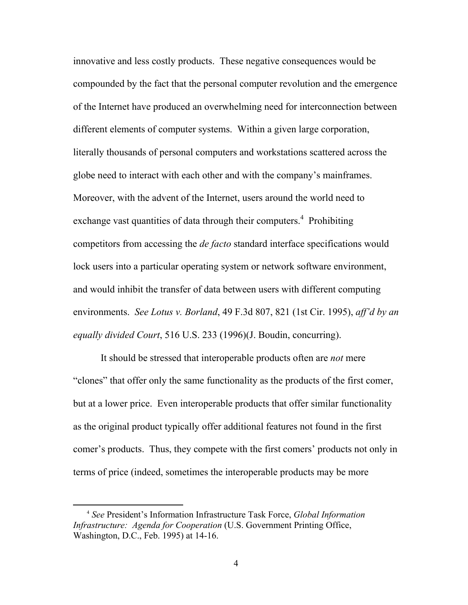innovative and less costly products. These negative consequences would be compounded by the fact that the personal computer revolution and the emergence of the Internet have produced an overwhelming need for interconnection between different elements of computer systems. Within a given large corporation, literally thousands of personal computers and workstations scattered across the globe need to interact with each other and with the company's mainframes. Moreover, with the advent of the Internet, users around the world need to exchange vast quantities of data through their computers.<sup>4</sup> Prohibiting competitors from accessing the *de facto* standard interface specifications would lock users into a particular operating system or network software environment, and would inhibit the transfer of data between users with different computing environments. *See Lotus v. Borland*, 49 F.3d 807, 821 (1st Cir. 1995), *aff'd by an equally divided Court*, 516 U.S. 233 (1996)(J. Boudin, concurring).

It should be stressed that interoperable products often are *not* mere "clones" that offer only the same functionality as the products of the first comer, but at a lower price. Even interoperable products that offer similar functionality as the original product typically offer additional features not found in the first comer's products. Thus, they compete with the first comers' products not only in terms of price (indeed, sometimes the interoperable products may be more

<span id="page-7-0"></span> <sup>4</sup> *See* President's Information Infrastructure Task Force, *Global Information Infrastructure: Agenda for Cooperation* (U.S. Government Printing Office, Washington, D.C., Feb. 1995) at 14-16.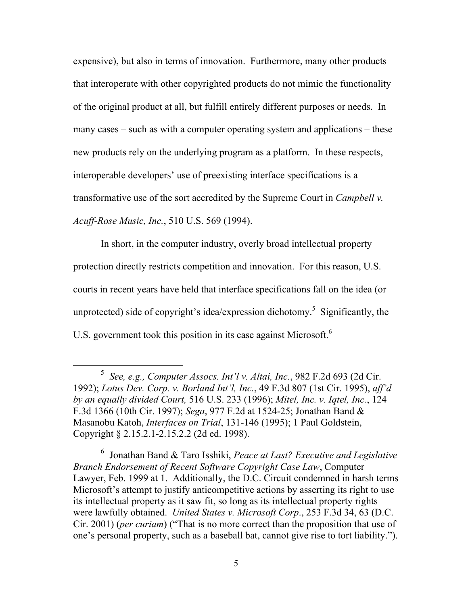expensive), but also in terms of innovation. Furthermore, many other products that interoperate with other copyrighted products do not mimic the functionality of the original product at all, but fulfill entirely different purposes or needs. In many cases – such as with a computer operating system and applications – these new products rely on the underlying program as a platform. In these respects, interoperable developers' use of preexisting interface specifications is a transformative use of the sort accredited by the Supreme Court in *Campbell v. Acuff-Rose Music, Inc.*, 510 U.S. 569 (1994).

In short, in the computer industry, overly broad intellectual property protection directly restricts competition and innovation. For this reason, U.S. courts in recent years have held that interface specifications fall on the idea (or unprotected)side of copyright's idea/expression dichotomy.<sup>5</sup> Significantly, the U.S. government took this position in its case against Microsoft.<sup>[6](#page-8-1)</sup>

<span id="page-8-1"></span>6 Jonathan Band & Taro Isshiki, *Peace at Last? Executive and Legislative Branch Endorsement of Recent Software Copyright Case Law*, Computer Lawyer, Feb. 1999 at 1. Additionally, the D.C. Circuit condemned in harsh terms Microsoft's attempt to justify anticompetitive actions by asserting its right to use its intellectual property as it saw fit, so long as its intellectual property rights were lawfully obtained. *United States v. Microsoft Corp*., 253 F.3d 34, 63 (D.C. Cir. 2001) (*per curiam*) ("That is no more correct than the proposition that use of one's personal property, such as a baseball bat, cannot give rise to tort liability.").

<span id="page-8-0"></span> $rac{1}{5}$  *See, e.g., Computer Assocs. Int'l v. Altai, Inc.*, 982 F.2d 693 (2d Cir. 1992); *Lotus Dev. Corp. v. Borland Int'l, Inc.*, 49 F.3d 807 (1st Cir. 1995), *aff'd by an equally divided Court,* 516 U.S. 233 (1996); *Mitel, Inc. v. Iqtel, Inc.*, 124 F.3d 1366 (10th Cir. 1997); *Sega*, 977 F.2d at 1524-25; Jonathan Band & Masanobu Katoh, *Interfaces on Trial*, 131-146 (1995); 1 Paul Goldstein, Copyright § 2.15.2.1-2.15.2.2 (2d ed. 1998).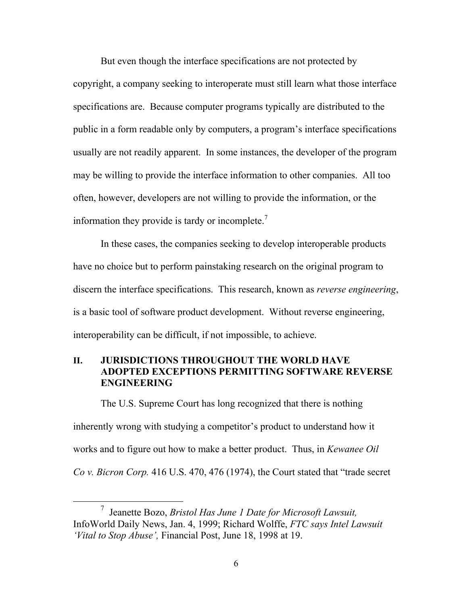<span id="page-9-0"></span>But even though the interface specifications are not protected by copyright, a company seeking to interoperate must still learn what those interface specifications are. Because computer programs typically are distributed to the public in a form readable only by computers, a program's interface specifications usually are not readily apparent. In some instances, the developer of the program may be willing to provide the interface information to other companies. All too often, however, developers are not willing to provide the information, or the information they provide is tardy or incomplete. $<sup>7</sup>$  $<sup>7</sup>$  $<sup>7</sup>$ </sup>

In these cases, the companies seeking to develop interoperable products have no choice but to perform painstaking research on the original program to discern the interface specifications. This research, known as *reverse engineering*, is a basic tool of software product development. Without reverse engineering, interoperability can be difficult, if not impossible, to achieve.

# **II. JURISDICTIONS THROUGHOUT THE WORLD HAVE ADOPTED EXCEPTIONS PERMITTING SOFTWARE REVERSE ENGINEERING**

The U.S. Supreme Court has long recognized that there is nothing inherently wrong with studying a competitor's product to understand how it works and to figure out how to make a better product. Thus, in *Kewanee Oil Co v. Bicron Corp.* 416 U.S. 470, 476 (1974), the Court stated that "trade secret

<span id="page-9-1"></span> <sup>7</sup> Jeanette Bozo, *Bristol Has June 1 Date for Microsoft Lawsuit,* InfoWorld Daily News, Jan. 4, 1999; Richard Wolffe, *FTC says Intel Lawsuit 'Vital to Stop Abuse',* Financial Post, June 18, 1998 at 19.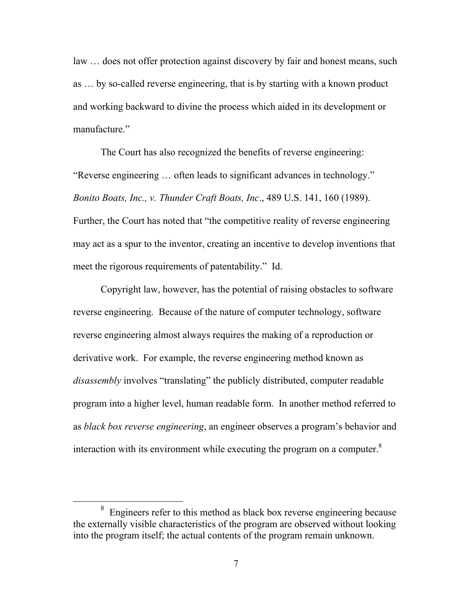law … does not offer protection against discovery by fair and honest means, such as … by so-called reverse engineering, that is by starting with a known product and working backward to divine the process which aided in its development or manufacture."

The Court has also recognized the benefits of reverse engineering: "Reverse engineering … often leads to significant advances in technology." *Bonito Boats, Inc., v. Thunder Craft Boats, Inc*., 489 U.S. 141, 160 (1989). Further, the Court has noted that "the competitive reality of reverse engineering may act as a spur to the inventor, creating an incentive to develop inventions that meet the rigorous requirements of patentability." Id.

Copyright law, however, has the potential of raising obstacles to software reverse engineering. Because of the nature of computer technology, software reverse engineering almost always requires the making of a reproduction or derivative work. For example, the reverse engineering method known as *disassembly* involves "translating" the publicly distributed, computer readable program into a higher level, human readable form. In another method referred to as *black box reverse engineering*, an engineer observes a program's behavior and interaction with its environment while executing the program on a computer. $8$ 

<span id="page-10-0"></span> <sup>8</sup> Engineers refer to this method as black box reverse engineering because the externally visible characteristics of the program are observed without looking into the program itself; the actual contents of the program remain unknown.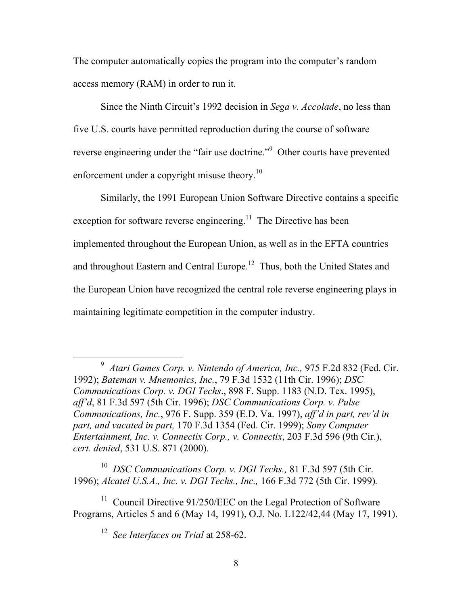The computer automatically copies the program into the computer's random access memory (RAM) in order to run it.

Since the Ninth Circuit's 1992 decision in *Sega v. Accolade*, no less than five U.S. courts have permitted reproduction during the course of software reverse engineering under the "fair use doctrine."<sup>[9](#page-11-0)</sup> Other courts have prevented enforcement under a copyright misuse theory.<sup>10</sup>

Similarly, the 1991 European Union Software Directive contains a specific exception for software reverse engineering.<sup>11</sup> The Directive has been implemented throughout the European Union, as well as in the EFTA countries and throughout Eastern and Central Europe.<sup>12</sup> Thus, both the United States and the European Union have recognized the central role reverse engineering plays in maintaining legitimate competition in the computer industry.

<span id="page-11-1"></span>10 *DSC Communications Corp. v. DGI Techs.,* 81 F.3d 597 (5th Cir. 1996); *Alcatel U.S.A., Inc. v. DGI Techs., Inc.,* 166 F.3d 772 (5th Cir. 1999)*.* 

<sup>11</sup> Council Directive 91/250/EEC on the Legal Protection of Software Programs, Articles 5 and 6 (May 14, 1991), O.J. No. L122/42,44 (May 17, 1991).

<span id="page-11-3"></span><span id="page-11-2"></span>12 *See Interfaces on Trial* at 258-62.

<span id="page-11-0"></span> $\frac{1}{9}$ <sup>9</sup> Atari Games Corp. v. Nintendo of America, Inc., 975 F.2d 832 (Fed. Cir. 1992); *Bateman v. Mnemonics, Inc.*, 79 F.3d 1532 (11th Cir. 1996); *DSC Communications Corp. v. DGI Techs*., 898 F. Supp. 1183 (N.D. Tex. 1995), *aff'd*, 81 F.3d 597 (5th Cir. 1996); *DSC Communications Corp. v. Pulse Communications, Inc.*, 976 F. Supp. 359 (E.D. Va. 1997), *aff'd in part, rev'd in part, and vacated in part,* 170 F.3d 1354 (Fed. Cir. 1999); *Sony Computer Entertainment, Inc. v. Connectix Corp., v. Connectix*, 203 F.3d 596 (9th Cir.), *cert. denied*, 531 U.S. 871 (2000).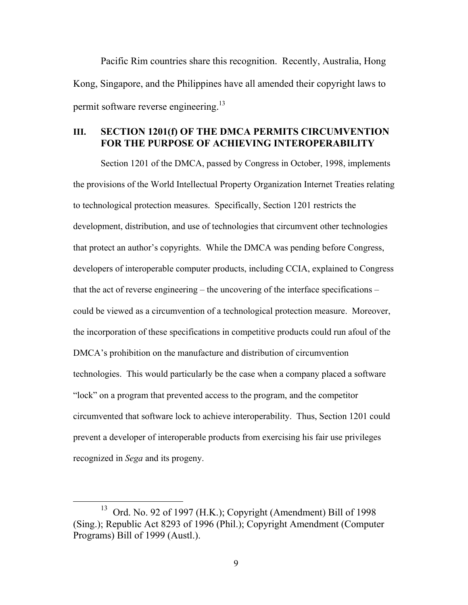Pacific Rim countries share this recognition. Recently, Australia, Hong Kong, Singapore, and the Philippines have all amended their copyright laws to permit software reverse engineering.<sup>13</sup>

### **III. SECTION 1201(f) OF THE DMCA PERMITS CIRCUMVENTION FOR THE PURPOSE OF ACHIEVING INTEROPERABILITY**

Section 1201 of the DMCA, passed by Congress in October, 1998, implements the provisions of the World Intellectual Property Organization Internet Treaties relating to technological protection measures. Specifically, Section 1201 restricts the development, distribution, and use of technologies that circumvent other technologies that protect an author's copyrights. While the DMCA was pending before Congress, developers of interoperable computer products, including CCIA, explained to Congress that the act of reverse engineering – the uncovering of the interface specifications – could be viewed as a circumvention of a technological protection measure. Moreover, the incorporation of these specifications in competitive products could run afoul of the DMCA's prohibition on the manufacture and distribution of circumvention technologies. This would particularly be the case when a company placed a software "lock" on a program that prevented access to the program, and the competitor circumvented that software lock to achieve interoperability. Thus, Section 1201 could prevent a developer of interoperable products from exercising his fair use privileges recognized in *Sega* and its progeny.

<span id="page-12-0"></span><sup>&</sup>lt;sup>13</sup> Ord. No. 92 of 1997 (H.K.); Copyright (Amendment) Bill of 1998 (Sing.); Republic Act 8293 of 1996 (Phil.); Copyright Amendment (Computer Programs) Bill of 1999 (Austl.).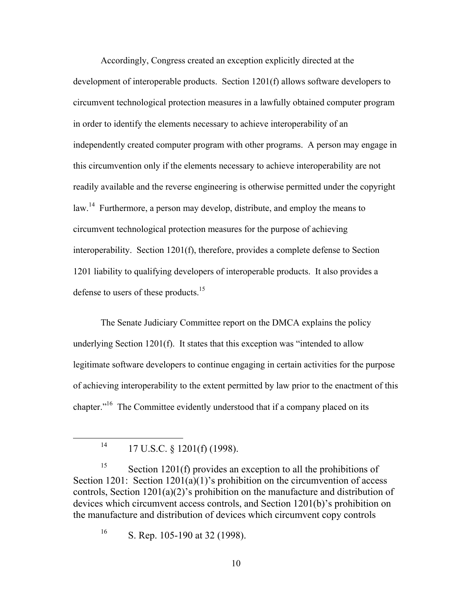Accordingly, Congress created an exception explicitly directed at the development of interoperable products. Section 1201(f) allows software developers to circumvent technological protection measures in a lawfully obtained computer program in order to identify the elements necessary to achieve interoperability of an independently created computer program with other programs. A person may engage in this circumvention only if the elements necessary to achieve interoperability are not readily available and the reverse engineering is otherwise permitted under the copyright law.<sup>14</sup> Furthermore, a person may develop, distribute, and employ the means to circumvent technological protection measures for the purpose of achieving interoperability. Section 1201(f), therefore, provides a complete defense to Section 1201 liability to qualifying developers of interoperable products. It also provides a defense to users of these products.<sup>15</sup>

The Senate Judiciary Committee report on the DMCA explains the policy underlying Section 1201(f). It states that this exception was "intended to allow legitimate software developers to continue engaging in certain activities for the purpose of achieving interoperability to the extent permitted by law prior to the enactment of this chapter."<sup>16</sup> The Committee evidently understood that if a company placed on its

<sup>15</sup> Section 1201(f) provides an exception to all the prohibitions of Section 1201: Section 1201(a)(1)'s prohibition on the circumvention of access controls, Section 1201(a)(2)'s prohibition on the manufacture and distribution of devices which circumvent access controls, and Section 1201(b)'s prohibition on the manufacture and distribution of devices which circumvent copy controls

<span id="page-13-2"></span><sup>16</sup> S. Rep. 105-190 at 32 (1998).

10

<span id="page-13-1"></span><span id="page-13-0"></span> $14$  17 U.S.C. § 1201(f) (1998).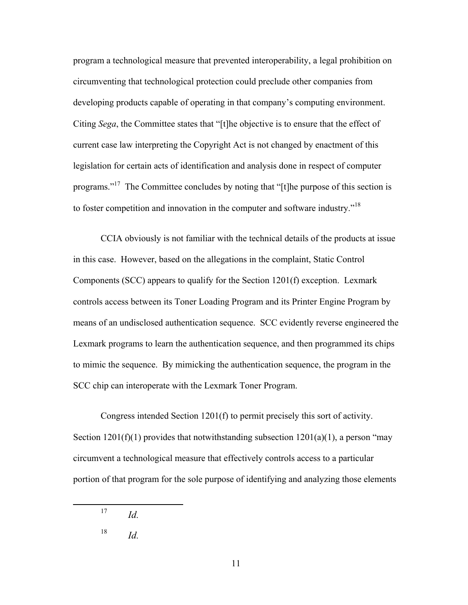program a technological measure that prevented interoperability, a legal prohibition on circumventing that technological protection could preclude other companies from developing products capable of operating in that company's computing environment. Citing *Sega*, the Committee states that "[t]he objective is to ensure that the effect of current case law interpreting the Copyright Act is not changed by enactment of this legislation for certain acts of identification and analysis done in respect of computer programs."[17](#page-14-0) The Committee concludes by noting that "[t]he purpose of this section is to foster competition and innovation in the computer and software industry."<sup>18</sup>

CCIA obviously is not familiar with the technical details of the products at issue in this case. However, based on the allegations in the complaint, Static Control Components (SCC) appears to qualify for the Section 1201(f) exception. Lexmark controls access between its Toner Loading Program and its Printer Engine Program by means of an undisclosed authentication sequence. SCC evidently reverse engineered the Lexmark programs to learn the authentication sequence, and then programmed its chips to mimic the sequence. By mimicking the authentication sequence, the program in the SCC chip can interoperate with the Lexmark Toner Program.

Congress intended Section 1201(f) to permit precisely this sort of activity. Section  $1201(f)(1)$  provides that notwithstanding subsection  $1201(a)(1)$ , a person "may circumvent a technological measure that effectively controls access to a particular portion of that program for the sole purpose of identifying and analyzing those elements

 <sup>17</sup> *Id.*

<span id="page-14-1"></span><span id="page-14-0"></span> $18$  *Id.*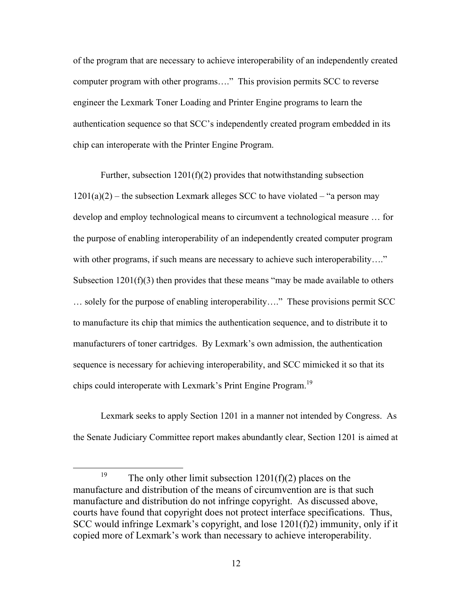of the program that are necessary to achieve interoperability of an independently created computer program with other programs…." This provision permits SCC to reverse engineer the Lexmark Toner Loading and Printer Engine programs to learn the authentication sequence so that SCC's independently created program embedded in its chip can interoperate with the Printer Engine Program.

Further, subsection  $1201(f)(2)$  provides that notwithstanding subsection  $1201(a)(2)$  – the subsection Lexmark alleges SCC to have violated – "a person may develop and employ technological means to circumvent a technological measure … for the purpose of enabling interoperability of an independently created computer program with other programs, if such means are necessary to achieve such interoperability…." Subsection  $1201(f)(3)$  then provides that these means "may be made available to others … solely for the purpose of enabling interoperability…." These provisions permit SCC to manufacture its chip that mimics the authentication sequence, and to distribute it to manufacturers of toner cartridges. By Lexmark's own admission, the authentication sequence is necessary for achieving interoperability, and SCC mimicked it so that its chips could interoperate with Lexmark's Print Engine Program.<sup>[19](#page-15-0)</sup>

Lexmark seeks to apply Section 1201 in a manner not intended by Congress. As the Senate Judiciary Committee report makes abundantly clear, Section 1201 is aimed at

<span id="page-15-0"></span><sup>&</sup>lt;sup>19</sup> The only other limit subsection  $1201(f)(2)$  places on the manufacture and distribution of the means of circumvention are is that such manufacture and distribution do not infringe copyright. As discussed above, courts have found that copyright does not protect interface specifications. Thus, SCC would infringe Lexmark's copyright, and lose 1201(f)2) immunity, only if it copied more of Lexmark's work than necessary to achieve interoperability.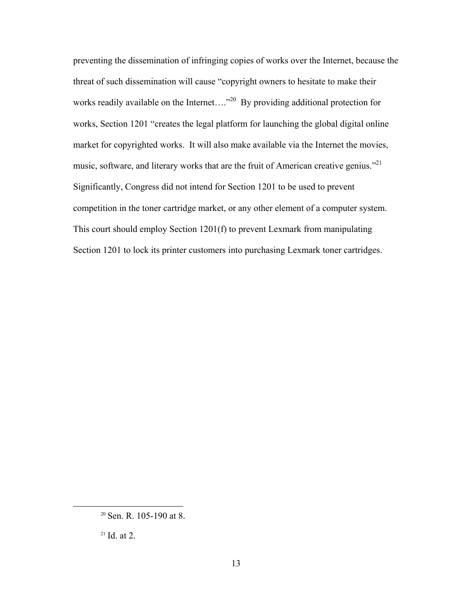preventing the dissemination of infringing copies of works over the Internet, because the threat of such dissemination will cause "copyright owners to hesitate to make their works readily available on the Internet...."<sup>20</sup> By providing additional protection for works, Section 1201 "creates the legal platform for launching the global digital online market for copyrighted works. It will also make available via the Internet the movies, music, software, and literary works that are the fruit of American creative genius."<sup>21</sup> Significantly, Congress did not intend for Section 1201 to be used to prevent competition in the toner cartridge market, or any other element of a computer system. This court should employ Section 1201(f) to prevent Lexmark from manipulating Section 1201 to lock its printer customers into purchasing Lexmark toner cartridges.

<span id="page-16-0"></span> <sup>20</sup> Sen. R. 105-190 at 8.

<span id="page-16-1"></span> $21$  Id. at 2.